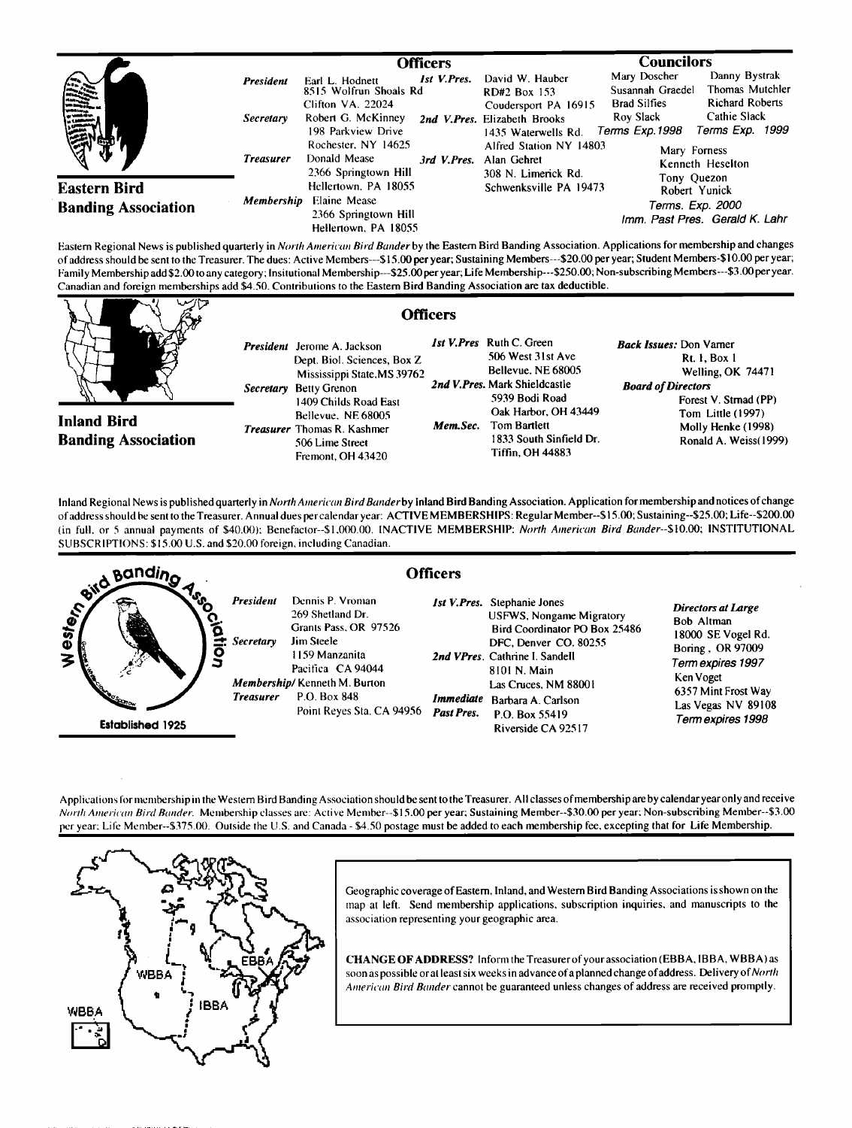|                                                   |                                                          | Officers                                                                                                                                                                                                       |                                                                                                                                                                                 | <b>Councilors</b>                                                                                                                                                                                                           |
|---------------------------------------------------|----------------------------------------------------------|----------------------------------------------------------------------------------------------------------------------------------------------------------------------------------------------------------------|---------------------------------------------------------------------------------------------------------------------------------------------------------------------------------|-----------------------------------------------------------------------------------------------------------------------------------------------------------------------------------------------------------------------------|
| illian<br>1994                                    | <b>President</b><br><i>Secretary</i><br><b>Treasurer</b> | <b>Ist V.Pres.</b><br>Earl L. Hodnett<br>8515 Wolfrun Shoals Rd<br>Clifton VA. 22024<br>Robert G. McKinney<br>198 Parkview Drive<br>Rochester, NY 14625<br>Donald Mease<br>3rd V.Pres.<br>2366 Springtown Hill | David W. Hauber<br>RD#2 Box 153<br>Coudersport PA 16915<br>2nd V.Pres. Elizabeth Brooks<br>1435 Waterwells Rd.<br>Alfred Station NY 14803<br>Alan Gehret<br>308 N. Limerick Rd. | Danny Bystrak<br>Mary Doscher<br>Thomas Mutchler<br>Susannah Graedel<br><b>Richard Roberts</b><br><b>Brad Silfies</b><br>Cathie Slack<br>Roy Slack<br>Terms Exp. 1999<br>Terms Exp.1998<br>Mary Forness<br>Kenneth Heselton |
| <b>Eastern Bird</b><br><b>Banding Association</b> | Membership                                               | Hellertown, PA 18055<br>Elaine Mease<br>2366 Springtown Hill<br>Hellertown, PA 18055                                                                                                                           | Schwenksville PA 19473                                                                                                                                                          | Tony Quezon<br>Robert Yunick<br>Terms. Exp. 2000<br>Imm. Past Pres. Gerald K. Lahr                                                                                                                                          |

Eastern Regional News is published quarterly in North American Bird Bander by the Eastern Bird Banding Association. Applications for membership and changes of address should be sent to the Treasurer. The dues: Active Members---\$15.00 per year; Sustaining Members---\$20.00 per year; Student Members-\$10.00 per year; **Family Membership add \$2.00 to any category; Insitutional Membership---S25.00 per year; Life Membership---S250.00; Non-subscribing Members---S3.00 peryear. Canadian and foreign memberships add \$4.50. Contributions to the Eastern Bird Banding Association are tax deductible.** 

**Inland Bird Banding Association** 

**Officers President Jerome A. Jackson Dept. Biol. Sciences, Box Z Mississippi State,MS 39762 Secretary Betty Grenon 1409 Childs Road East Bellevue, NE 68005 Treasurer Thomas R. Kashmer 506 Lime Street Fremont, OH 43420** 

**1st V. Pres Ruth C. Green 506 West 31 st Ave Bellevue. NE 68005 2nd V. Pres. Mark Shieldcastle 5939 Bodi Road Oak Harbor, OH 43449 Mem. Sec. Tom Barllett** 

> **1833 South Sinfield Dr. Tiffin, OH 44883**

**Back Issues: Don Varner Rt. I, Box I Welling, OK 74471 Board of Directors Forest V. Strnad (PP) Tom Little (1997) Molly Henke (1998) Ronald A. Weiss(1999)** 

**Inland Regional News is published quarterly inNorth American Bird Bander by Inland Bird Banding Association. Application for membership and notices of change of address should be sent to the Treasurer. Annual dues percalendar year: ACTIVE MEMBERSHIPS: Regular Member--\$15.00; Sustaining--S25.00; Life--S200.00**  (in full. or 5 annual payments of \$40.00); Benefactor--\$1.000.00. INACTIVE MEMBERSHIP: North American Bird Bander--\$10.00; INSTITUTIONAL **SUBSCRIPTIONS: \$15.00 U.S. and \$20.00 foreign. including Canadian.** 



Applications for membership in the Western Bird Banding Association should be sent to the Treasurer. All classes of membership are by calendar year only and receive North American Bird Bander. Membership classes are: Active Member--\$15.00 per year; Sustaining Member--\$30.00 per year; Non-subscribing Member--\$3.00 **per year: Life Member--S375.00. Outside the U.S. and Canada - \$4.50 postage must be added to each membership fee. excepting that for Life Membership.** 



**Geographic coverage of Eastern, Inland, and Western Bird Banding Associations is shown on the**  map at left. Send membership applications, subscription inquiries, and manuscripts to the **association representing your geographic area,** 

**CHANGE OF ADDRESS? Inform the Treasurer of your association (EBBA, IBBA, WBBA) as soon as possible or at least six weeks in advance ofa planned change of address. Delivery of North**  American Bird Bander cannot be guaranteed unless changes of address are received promptly.